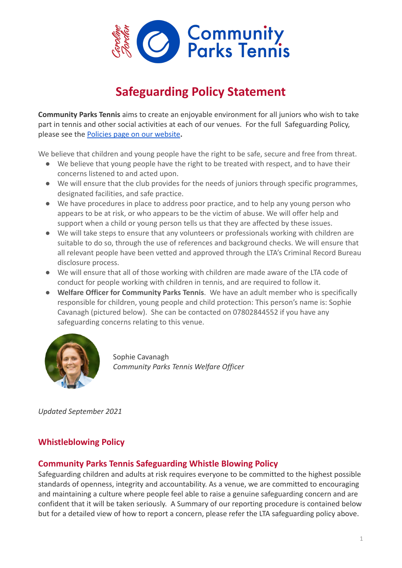

# **Safeguarding Policy Statement**

**Community Parks Tennis** aims to create an enjoyable environment for all juniors who wish to take part in tennis and other social activities at each of our venues. For the full Safeguarding Policy, please see the [Policies page on our website](https://clubspark.lta.org.uk/CommunityParksTennis/Policies)**.**

We believe that children and young people have the right to be safe, secure and free from threat.

- We believe that young people have the right to be treated with respect, and to have their concerns listened to and acted upon.
- We will ensure that the club provides for the needs of juniors through specific programmes, designated facilities, and safe practice.
- We have procedures in place to address poor practice, and to help any young person who appears to be at risk, or who appears to be the victim of abuse. We will offer help and support when a child or young person tells us that they are affected by these issues.
- We will take steps to ensure that any volunteers or professionals working with children are suitable to do so, through the use of references and background checks. We will ensure that all relevant people have been vetted and approved through the LTA's Criminal Record Bureau disclosure process.
- We will ensure that all of those working with children are made aware of the LTA code of conduct for people working with children in tennis, and are required to follow it.
- **Welfare Officer for Community Parks Tennis**. We have an adult member who is specifically responsible for children, young people and child protection: This person's name is: Sophie Cavanagh (pictured below). She can be contacted on 07802844552 if you have any safeguarding concerns relating to this venue.



Sophie Cavanagh *Community Parks Tennis Welfare Officer*

*Updated September 2021*

## **Whistleblowing Policy**

#### **Community Parks Tennis Safeguarding Whistle Blowing Policy**

Safeguarding children and adults at risk requires everyone to be committed to the highest possible standards of openness, integrity and accountability. As a venue, we are committed to encouraging and maintaining a culture where people feel able to raise a genuine safeguarding concern and are confident that it will be taken seriously. A Summary of our reporting procedure is contained below but for a detailed view of how to report a concern, please refer the LTA safeguarding policy above.